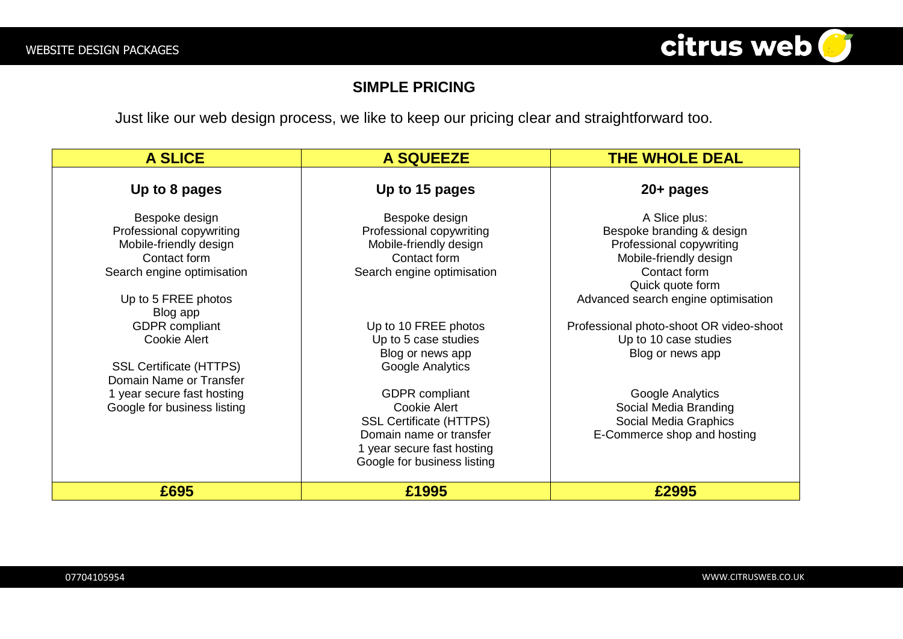

## **SIMPLE PRICING**

Just like our web design process, we like to keep our pricing clear and straightforward too.

| <b>A SLICE</b>                                                                                                     | <b>A SQUEEZE</b>                                                                                                                                                | <b>THE WHOLE DEAL</b>                                                                                            |
|--------------------------------------------------------------------------------------------------------------------|-----------------------------------------------------------------------------------------------------------------------------------------------------------------|------------------------------------------------------------------------------------------------------------------|
| Up to 8 pages                                                                                                      | Up to 15 pages                                                                                                                                                  | $20+$ pages                                                                                                      |
| Bespoke design<br>Professional copywriting<br>Mobile-friendly design<br>Contact form<br>Search engine optimisation | Bespoke design<br>Professional copywriting<br>Mobile-friendly design<br>Contact form<br>Search engine optimisation                                              | A Slice plus:<br>Bespoke branding & design<br>Professional copywriting<br>Mobile-friendly design<br>Contact form |
| Up to 5 FREE photos<br>Blog app                                                                                    |                                                                                                                                                                 | Quick quote form<br>Advanced search engine optimisation                                                          |
| <b>GDPR</b> compliant<br>Cookie Alert                                                                              | Up to 10 FREE photos<br>Up to 5 case studies<br>Blog or news app                                                                                                | Professional photo-shoot OR video-shoot<br>Up to 10 case studies<br>Blog or news app                             |
| <b>SSL Certificate (HTTPS)</b><br>Domain Name or Transfer                                                          | Google Analytics                                                                                                                                                |                                                                                                                  |
| 1 year secure fast hosting<br>Google for business listing                                                          | <b>GDPR</b> compliant<br>Cookie Alert<br><b>SSL Certificate (HTTPS)</b><br>Domain name or transfer<br>1 year secure fast hosting<br>Google for business listing | Google Analytics<br>Social Media Branding<br>Social Media Graphics<br>E-Commerce shop and hosting                |
| £695                                                                                                               | £1995                                                                                                                                                           | £2995                                                                                                            |